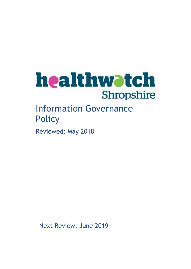

# Information Governance **Policy**

Reviewed: May 2018

Next Review: June 2019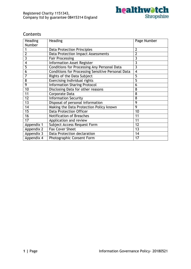

# Contents

| Heading                                       | Heading                                                  | Page Number    |
|-----------------------------------------------|----------------------------------------------------------|----------------|
| Number                                        |                                                          |                |
|                                               | <b>Data Protection Principles</b>                        | 2              |
| 2                                             | <b>Data Protection Impact Assessments</b>                | $\overline{2}$ |
| 3                                             | <b>Fair Processing</b>                                   | 3              |
| $\overline{\mathbf{4}}$                       | <b>Information Asset Register</b>                        | 3              |
| 5                                             | Conditions for Processing Any Personal Data              | 3              |
| 6                                             | <b>Conditions for Processing Sensitive Personal Data</b> | $\overline{4}$ |
| 7                                             | Rights of the Data Subject                               | 5              |
| 8                                             | <b>Exercising Individual rights</b>                      | 5              |
| $\overline{9}$                                | <b>Information Sharing Protocol</b>                      | 6              |
| 10                                            | Disclosing Data for other reasons                        | 8              |
| 11                                            | Corporate Data                                           | 8              |
| $\overline{12}$                               | <b>Information Security</b>                              | 8              |
| 13                                            | Disposal of personal information                         | 9              |
| $\overline{14}$                               | Making the Data Protection Policy known                  | $\overline{9}$ |
| 15                                            | <b>Data Protection Officer</b>                           | 10             |
| $\overline{16}$                               | <b>Notification of Breaches</b>                          | 11             |
| $\overline{17}$                               | Application and review                                   | 11             |
| Appendix 1                                    | Subject Access Request Form                              | 12             |
| Appendix 2                                    | <b>Fax Cover Sheet</b>                                   | 13             |
| Appendix 3                                    | Data Protection declaration                              | 14             |
| 17<br>Appendix 4<br>Photographic Consent Form |                                                          |                |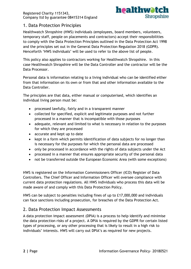

# 1. Data Protection Principles

Healthwatch Shropshire (HWS) individuals (employees, board members, volunteers, temporary staff, people on placements and contractors) accept their responsibilities to comply with the Data Protection Principles outlined in the Data Protection Act 1998 and the principles set out in the General Data Protection Regulation 2018 (GDPR). Henceforth 'HWS individuals' will be used to refer to the above list of people.

This policy also applies to contractors working for Healthwatch Shropshire. In this case Healthwatch Shropshire will be the Data Controller and the contractor will be the Data Processor.

Personal data is information relating to a living individual who can be identified either from that information on its own or from that and other information available to the Data Controller.

The principles are that data, either manual or computerised, which identifies an individual living person must be:

- processed lawfully, fairly and in a transparent manner
- collected for specified, explicit and legitimate purposes and not further processed in a manner that is incompatible with those purposes
- adequate, relevant and limited to what is necessary in relation to the purposes for which they are processed
- accurate and kept up to date
- kept in a form which permits identification of data subjects for no longer than is necessary for the purposes for which the personal data are processed
- only be processed in accordance with the rights of data subjects under the Act
- processed in a manner that ensures appropriate security of the personal data
- not be transferred outside the European Economic Area (with some exceptions)

HWS is registered on the Information Commissioners Officer (ICO) Register of Data Controllers. The Chief Officer and Information Officer will oversee compliance with current data protection regulations. All HWS individuals who process this data will be made aware of and comply with this Data Protection Policy.

HWS can be subject to penalties including fines of up to £17,000,000 and individuals can face sanctions including prosecution, for breaches of the Data Protection Act.

# 2. Data Protection Impact Assessments

A data protection impact assessment (DPIA) is a process to help identify and minimise the data protection risks of a project. A DPIA is required by the GDPR for certain listed types of processing, or any other processing that is likely to result in a high risk to individuals' interests. HWS will carry out DPIA's as required for new projects.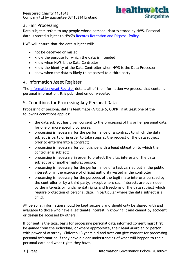

# 3. Fair Processing

Data subjects refers to any people whose personal data is stored by HWS. Personal data is stored subject to HWS's [Records Retention and Disposal Policy.](https://shropshire.healthwatch-wib.co.uk/node/1248)

HWS will ensure that the data subject will:

- not be deceived or misled
- know the purpose for which the data is intended
- know when HWS is the Data Controller
- know the identity of the Data Controller when HWS is the Data Processor
- know when the data is likely to be passed to a third party.

# 4. Information Asset Register

The [Information Asset Register](https://shropshire.healthwatch-wib.co.uk/node/1247) details all of the information we process that contains personal information. It is published on our website.

# 5. Conditions for Processing Any Personal Data

Processing of personal data is legitimate (Article 6, GDPR) if at least one of the following conditions applies:

- the data subject has given consent to the processing of his or her personal data for one or more specific purposes;
- processing is necessary for the performance of a contract to which the data subject is party or in order to take steps at the request of the data subject prior to entering into a contract;
- processing is necessary for compliance with a legal obligation to which the controller is subject;
- processing is necessary in order to protect the vital interests of the data subject or of another natural person;
- processing is necessary for the performance of a task carried out in the public interest or in the exercise of official authority vested in the controller;
- processing is necessary for the purposes of the legitimate interests pursued by the controller or by a third party, except where such interests are overridden by the interests or fundamental rights and freedoms of the data subject which require protection of personal data, in particular where the data subject is a child.

All personal information should be kept securely and should only be shared with and available to those who have a legitimate interest in knowing it and cannot by accident or design be accessed by others.

If consent is the legal basis for processing personal data informed consent must first be gained from the individual, or where appropriate, their legal guardian or person with power of attorney. Children 13 years old and over can give consent for processing personal information if they have a clear understanding of what will happen to their personal data and what rights they have.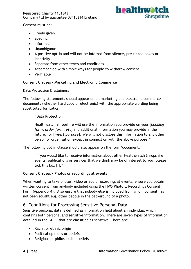

Consent must be:

- Freely given
- Specific
- Informed
- Unambiguous
- A positive opt-in and will not be inferred from silence, pre-ticked boxes or inactivity
- Separate from other terms and conditions
- Accompanied with simple ways for people to withdraw consent
- Verifiable

#### **Consent Clauses - Marketing and Electronic Commerce**

Data Protection Disclaimers

The following statements should appear on all marketing and electronic commerce documents (whether hard copy or electronic) with the appropriate wording being substituted for italics:

"Data Protection

Healthwatch Shropshire will use the information you provide on your [*booking form, order form, etc*] and additional information you may provide in the future, for [*insert purpose*]. We will not disclose this information to any other person or organisation except in connection with the above purpose."

The following opt in clause should also appear on the form/document:

"If you would like to receive information about other Healthwatch Shropshire events, publications or services that we think may be of interest to you, please tick this box [ ]."

#### **Consent Clauses - Photos or recordings at events**

When wanting to take photos, video or audio recordings at events, ensure you obtain written consent from anybody included using the HWS Photo & Recordings Consent Form (Appendix 4). Also ensure that nobody else is included from whom consent has not been sought e.g. other people in the background of a photo.

# 6. Conditions for Processing Sensitive Personal Data

Sensitive personal data is defined as information held about an individual which contains both personal and sensitive information. There are seven types of information detailed in the GDPR that are classified as sensitive. There are:

- Racial or ethnic origin
- Political opinions or beliefs
- Religious or philosophical beliefs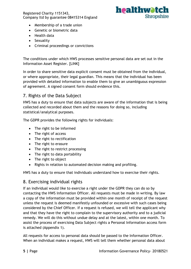

- Membership of a trade union
- Genetic or biometric data
- Health data
- Sexuality
- Criminal proceedings or convictions

The conditions under which HWS processes sensitive personal data are set out in the Information Asset Register. [LINK]

In order to share sensitive data explicit consent must be obtained from the individual, or where appropriate, their legal guardian. This means that the individual has been provided with detailed information to enable them to give an unambiguous expression of agreement. A signed consent form should evidence this.

# 7. Rights of the Data Subject

HWS has a duty to ensure that data subjects are aware of the information that is being collected and recorded about them and the reasons for doing so, including statistical/analytical purposes.

The GDPR provides the following rights for individuals:

- The right to be informed
- The right of access
- The right to rectification
- The right to erasure
- The right to restrict processing
- The right to data portability
- The right to object
- Rights in relation to automated decision making and profiling.

HWS has a duty to ensure that individuals understand how to exercise their rights.

## 8. Exercising individual rights

If an individual would like to exercise a right under the GDPR they can do so by contacting the HWS Information Officer. All requests must be made in writing. By law a copy of the information must be provided within one month of receipt of the request unless the request is deemed manifestly unfounded or excessive with such cases being considered by the Chief Officer. If a request is refused, we will tell the applicant why and that they have the right to complain to the supervisory authority and to a judicial remedy. We will do this without undue delay and at the latest, within one month. To assist the process of exercising Data Subject rights a Personal Information access form is attached (Appendix 1).

All requests for access to personal data should be passed to the Information Officer. When an individual makes a request, HWS will tell them whether personal data about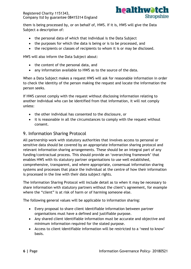

them is being processed by, or on behalf of, HWS. If it is, HWS will give the Data Subject a description of:

- the personal data of which that individual is the Data Subject
- the purposes for which the data is being or is to be processed, and
- the recipients or classes of recipients to whom it is or may be disclosed.

HWS will also inform the Data Subject about:

- the content of the personal data, and
- any information available to HWS as to the source of the data.

When a Data Subject makes a request HWS will ask for reasonable information in order to check the identity of the person making the request and locate the information the person seeks.

If HWS cannot comply with the request without disclosing information relating to another individual who can be identified from that information, it will not comply unless:

- the other individual has consented to the disclosure, or
- it is reasonable in all the circumstances to comply with the request without consent.

## 9. Information Sharing Protocol

All partnership work with statutory authorities that involves access to personal or sensitive data should be covered by an appropriate Information sharing protocol and relevant information sharing arrangements. These should be an integral part of any funding/contractual process. This should provide an 'overarching framework' that enables HWS with its statutory partner organisations to use well established, comprehensive, transparent, and where appropriate, consensual information sharing systems and processes that place the individual at the centre of how their information is processed in the line with their data subject rights.

The Information Sharing Protocol will include detail as to when it may be necessary to share information with statutory partners without the client's agreement, for example where the "client" is at risk of harm or of harming someone else.

The following general values will be applicable to information sharing:

- Every proposal to share client identifiable information between partner organisations must have a defined and justifiable purpose.
- Any shared client identifiable information must be accurate and objective and minimum information required for the stated purpose.
- Access to client identifiable information will be restricted to a 'need to know' basis.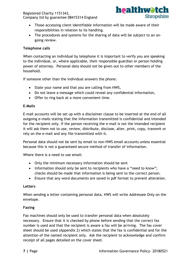

- Those accessing client identifiable information will be made aware of their responsibilities in relation to its handling.
- The procedures and systems for the sharing of data will be subject to an ongoing review.

#### **Telephone calls**

When contacting an individual by telephone it is important to verify you are speaking to the individual, or, where applicable, their responsible guardian or person holding power of attorney. Personal data should not be given out to other members of the household.

If someone other than the individual answers the phone:

- State your name and that you are calling from HWS,
- Do not leave a message which could reveal any confidential information,
- Offer to ring back at a more convenient time.

#### **E-Mails**

E-mail accounts will be set up with a disclaimer clause to be inserted at the end of all outgoing e-mails stating that the information transmitted is confidential and intended for the recipient only. If the person receiving the e-mail is not the intended recipient it will ask them not to use, review, distribute, disclose, alter, print, copy, transmit or rely on the e-mail and any file transmitted with it.

Personal data should not be sent by email to non-HWS email accounts unless essential because this is not a guaranteed secure method of transfer of information.

Where there is a need to use email:

- Only the minimum necessary information should be sent
- Information should only be sent to recipients who have a "need to know"; checks should be made that information is being sent to the correct person.
- Ensure that any word documents are saved in pdf format to prevent alteration.

#### **Letters**

When sending a letter containing personal data, HWS will write Addressee Only on the envelope.

#### **Faxing**

Fax machines should only be used to transfer personal data when absolutely necessary. Ensure that it is checked by phone before sending that the correct fax number is used and that the recipient is aware a fax will be arriving. The fax cover sheet should be used (Appendix 2) which states that the fax is confidential and for the attention of the named recipient only. Ask the recipient to acknowledge and confirm receipt of all pages detailed on the cover sheet.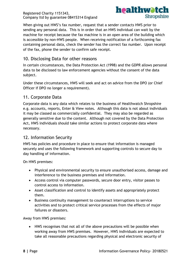

When giving out HWS's fax number, request that a sender contacts HWS prior to sending any personal data. This is in order that an HWS individual can wait by the machine for receipt because the fax machine is in an open area of the building which is accessible by non-HWS people. When receiving notification of a forthcoming fax containing personal data, check the sender has the correct fax number. Upon receipt of the fax, phone the sender to confirm safe receipt.

# 10. Disclosing Data for other reasons

In certain circumstances, the Data Protection Act (1998) and the GDPR allows personal data to be disclosed to law enforcement agencies without the consent of the data subject.

Under these circumstances, HWS will seek and act on advice from the DPO (or Chief Officer if DPO no longer a requirement).

# 11. Corporate Data

Corporate data is any data which relates to the business of Healthwatch Shropshire e.g. accounts, reports, Enter & View notes. Although this data is not about individuals it may be classed as commercially confidential. They may also be regarded as generally sensitive due to the content. Although not covered by the Data Protection Act, HWS individuals should take similar actions to protect corporate data where necessary.

# 12. Information Security

HWS has policies and procedure in place to ensure that information is managed securely and uses the following framework and supporting controls to secure day to day handling of information.

On HWS premises:

- Physical and environmental security to ensure unauthorised access, damage and interference to the business premises and information.
- Access control via computer passwords, secure door entry, visitor passes to control access to information.
- Asset classification and control to identify assets and appropriately protect them.
- Business continuity management to counteract interruptions to service activities and to protect critical service processes from the effects of major failures or disasters.

Away from HWS premises:

 HWS recognises that not all of the above precautions will be possible when working away from HWS premises. However, HWS individuals are expected to take all reasonable precautions regarding physical and electronic security of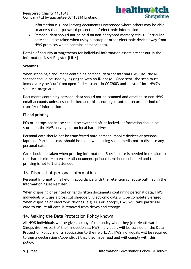

information e.g. not leaving documents unattended where others may be able to access them, password protection of electronic information.

 Personal data should not be held on non-encrypted memory sticks. Particular care should be taken when using a laptop or other electronic device away from HWS premises which contains personal data.

Details of security arrangements for individual information assets are set out in the Information Asset Register [LINK]

#### **Scanning**

When scanning a document containing personal data for internal HWS use, the RCC scanner should be used by logging in with an ID badge. Once sent, the scan must immediately be 'cut' from open folder 'scans' in CCS2003 and 'pasted' into HWS's secure storage area.

Documents containing personal data should not be scanned and emailed to non-HWS email accounts unless essential because this is not a guaranteed secure method of transfer of information.

#### **IT and printing**

PCs or laptops not in use should be switched off or locked. Information should be stored on the HWS server, not on local hard drives.

Personal data should not be transferred onto personal mobile devices or personal laptops. Particular care should be taken when using social media not to disclose any personal data.

Care should be taken when printing information. Special care is needed in relation to the shared printer to ensure all documents printed have been collected and that printing is not left unattended.

## 13. Disposal of personal information

Personal Information is held in accordance with the retention schedule outlined in the Information Asset Register.

When disposing of printed or handwritten documents containing personal data, HWS individuals will use a cross cut shredder. Electronic data will be completely erased. When disposing of electronic devices, e.g. PCs or laptops, HWS will take particular care to ensure all data is removed from drives and storage.

# 14. Making the Data Protection Policy known

All HWS individuals will be given a copy of the policy when they join Healthwatch Shropshire. As part of their induction all HWS individuals will be trained on the Data Protection Policy and its application to their work. All HWS individuals will be required to sign a declaration (Appendix 3) that they have read and will comply with this policy.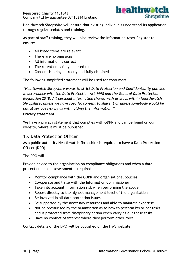

Healthwatch Shropshire will ensure that existing individuals understand its application through regular updates and training.

As part of staff training, they will also review the Information Asset Register to ensure:

- All listed items are relevant
- There are no omissions
- All information is correct
- The retention is fully adhered to
- Consent is being correctly and fully obtained

The following simplified statement will be used for consumers

*"Healthwatch Shropshire works to strict Data Protection and Confidentiality policies in accordance with the Data Protection Act 1998 and the General Data Protection Regulation 2018. All personal information shared with us stays within Healthwatch Shropshire, unless we have specific consent to share it or unless somebody would be put at serious risk by us withholding the information."*

#### **Privacy statement**

We have a privacy statement that complies with GDPR and can be found on our website, where it must be published.

## 15. Data Protection Officer

As a public authority Healthwatch Shropshire is required to have a Data Protection Officer (DPO).

The DPO will:

Provide advice to the organisation on compliance obligations and when a data protection impact assessment is required

- Monitor compliance with the GDPR and organisational policies
- Co-operate and liaise with the Information Commissioner
- Take into account information risk when performing the above
- Report directly to the highest management level of the organisation
- Be involved in all data protection issues
- Be supported by the necessary resources and able to maintain expertise
- Not be pressurised by the organisation as to how to perform his or her tasks, and is protected from disciplinary action when carrying out those tasks
- Have no conflict of interest where they perform other roles

Contact details of the DPO will be published on the HWS website.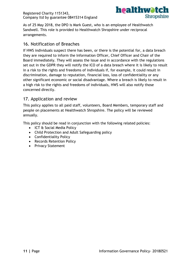

As of 25 May 2018, the DPO is Mark Guest, who is an employee of Healthwatch Sandwell. This role is provided to Healthwatch Shropshire under reciprocal arrangements.

### 16. Notification of Breaches

If HWS individuals suspect there has been, or there is the potential for, a data breach they are required to inform the Information Officer, Chief Officer and Chair of the Board immediately. They will assess the issue and in accordance with the regulations set out in the GDPR they will notify the ICO of a data breach where it is likely to result in a risk to the rights and freedoms of individuals if, for example, it could result in discrimination, damage to reputation, financial loss, loss of confidentiality or any other significant economic or social disadvantage. Where a breach is likely to result in a high risk to the rights and freedoms of individuals, HWS will also notify those concerned directly.

## 17. Application and review

This policy applies to all paid staff, volunteers, Board Members, temporary staff and people on placements at Healthwatch Shropshire. The policy will be reviewed annually.

This policy should be read in conjunction with the following related policies:

- ICT & Social Media Policy
- Child Protection and Adult Safeguarding policy
- Confidentiality Policy
- Records Retention Policy
- Privacy Statement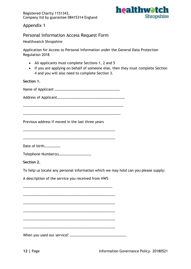

Appendix 1

## Personal Information Access Request Form

Healthwatch Shropshire

Application for Access to Personal Information under the General Data Protection Regulation 2018

- All applicants must complete Sections 1, 2 and 5
- If you are applying on behalf of someone else, then they must complete Section 4 and you will also need to complete Section 3.

#### **Section 1.**

Name of Applicant ……………………………………………………………… Address of Applicant………………………………………………………………… ………………………………………………………………………………………………… ……………………………………………………………………………………………… Previous address if moved in the last three years ………………………………………………………………………………………… ………………………………………………………………………………………… Date of birth……………… Telephone Number(s)……………………………… **Section 2.** To help us locate any personal information which we may hold can you please supply: A description of the service you received from HWS  $\mathcal{L}$  . The contract of the contract of the contract of the contract of the contract of the contract of the contract of the contract of the contract of the contract of the contract of the contract of the contract of th ………………………………………………………………………………………… ………………………………………………………………………………………… ………………………………………………………………………………………… ………………………………………………………………………………………… ………………………………………………………………………………………… When you used our service? ………………………………………………………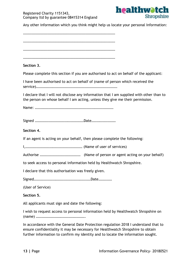

Any other information which you think might help us locate your personal Information:

…………………………………………………………………………………………

 $\mathcal{L}$  . The contract of the contract of the contract of the contract of the contract of the contract of the contract of the contract of the contract of the contract of the contract of the contract of the contract of th

…………………………………………………………………………………………

…………………………………………………………………………………………

#### **Section 3.**

Please complete this section if you are authorised to act on behalf of the applicant:

I have been authorised to act on behalf of (name of person which received the service)………………………………………………………………………………

I declare that I will not disclose any information that I am supplied with other than to the person on whose behalf I am acting, unless they give me their permission.

Name: ……………………………………………………………………………

Signed ………………………………………………Date………………………

#### **Section 4.**

If an agent is acting on your behalf, then please complete the following:

I,……………………………………………………… (Name of user of services)

Authorise ……………………………………… (Name of person or agent acting on your behalf)

to seek access to personal information held by Healthwatch Shropshire.

I declare that this authorisation was freely given.

Signed………………………………………………………Date……………

(User of Service)

#### **Section 5.**

All applicants must sign and date the following:

I wish to request access to personal information held by Healthwatch Shropshire on (name) ……………………………………………….

In accordance with the General Date Protection regulation 2018 I understand that to ensure confidentiality it may be necessary for Healthwatch Shropshire to obtain further information to confirm my identity and to locate the information sought.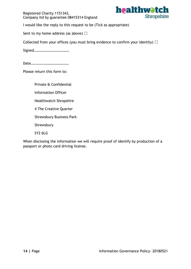

I would like the reply to this request to be (Tick as appropriate)

Sent to my home address (as above)  $\Box$ 

Collected from your offices (you must bring evidence to confirm your identity)  $\Box$ 

Signed…………………………………

Date……………………………………

Please return this form to:

Private & Confidential Information Officer Healthwatch Shropshire

4 The Creative Quarter

Shrewsbury Business Park

Shrewsbury

SY2 6LG

When disclosing the information we will require proof of identify by production of a passport or photo card driving license.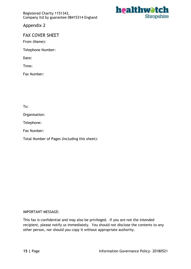

Appendix 2

## FAX COVER SHEET

From (Name):

Telephone Number:

Date:

Time:

Fax Number:

To:

Organisation:

Telephone:

Fax Number:

Total Number of Pages (Including this sheet):

#### IMPORTANT MESSAGE:

This fax is confidential and may also be privileged. If you are not the intended recipient, please notify us immediately. You should not disclose the contents to any other person, nor should you copy it without appropriate authority.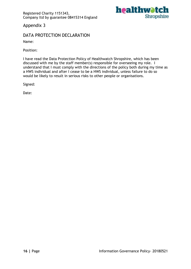

Appendix 3

# DATA PROTECTION DECLARATION

Name:

Position:

I have read the Data Protection Policy of Healthwatch Shropshire, which has been discussed with me by the staff member(s) responsible for overseeing my role. I understand that I must comply with the directions of the policy both during my time as a HWS individual and after I cease to be a HWS individual, unless failure to do so would be likely to result in serious risks to other people or organisations.

Signed:

Date: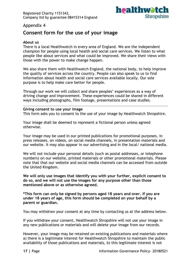

## Appendix 4

# **Consent form for the use of your image**

#### **About us**

There is a local Healthwatch in every area of England. We are the independent champion for people using local health and social care services. We listen to what people like about services and what could be improved. We share their views with those with the power to make change happen.

We also share them with Healthwatch England, the national body, to help improve the quality of services across the country. People can also speak to us to find information about health and social care services available locally. Our sole purpose is to help make care better for people.

Through our work we will collect and share peoples' experiences as a way of driving change and improvement. These experiences could be shared in different ways including photographs, film footage, presentations and case studies.

#### **Giving consent to use your image**

This form asks you to consent to the use of your image by Healthwatch Shropshire.

Your image shall be deemed to represent a fictional person unless agreed otherwise.

Your image may be used in our printed publications for promotional purposes, in press releases, on videos, on social media channels, in presentation materials and our website. It may also appear in our advertising and in the local/ national media.

We will not include your personal details (such as postal addresses, or telephone numbers) on our website, printed materials or other promotional materials. Please note that that our website and social media channels can be accessed from outside the United Kingdom.

**We will only use images that identify you with your further, explicit consent to do so, and we will not use the images for any purpose other than those mentioned above or as otherwise agreed.** 

**\*This form can only be signed by persons aged 18 years and over. If you are under 18 years of age, this form should be completed on your behalf by a parent or guardian.** 

You may withdraw your consent at any time by contacting us at the address below.

If you withdraw your consent, Healthwatch Shropshire will not use your image in any new publications or materials and will delete your image from our records.

However, your image may be retained on existing publications and materials where a) there is a legitimate interest for Healthwatch Shropshire to maintain the public availability of those publications and materials, b) this legitimate interest is not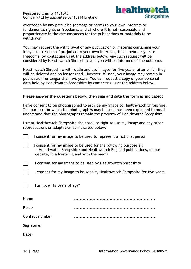

overridden by any prejudice (damage or harm) to your own interests or fundamental rights or freedoms, and c) where it is not reasonable and proportionate in the circumstances for the publications or materials to be withdrawn.

You may request the withdrawal of any publication or material containing your image, for reasons of prejudice to your own interests, fundamental rights or freedoms, by contacting us at the address below. Any such request will be considered by Healthwatch Shropshire and you will be informed of the outcome.

Healthwatch Shropshire will retain and use images for five years, after which they will be deleted and no longer used. However, if used, your image may remain in publication for longer than five years. You can request a copy of your personal data held by Healthwatch Shropshire by contacting us at the address below.

#### **Please answer the questions below, then sign and date the form as indicated:**

I give consent to be photographed to provide my image to Healthwatch Shropshire. The purpose for which the photograph/s may be used has been explained to me. I understand that the photographs remain the property of Healthwatch Shropshire.

I grant Healthwatch Shropshire the absolute right to use my image and any other reproductions or adaptation as indicated below:

|  | I consent for my image to be used to represent a fictional person |  |
|--|-------------------------------------------------------------------|--|
|--|-------------------------------------------------------------------|--|

I consent for my image to be used for the following purpose(s): In Healthwatch Shropshire and Healthwatch England publications, on our website, in advertising and with the media

I consent for my image to be used by Healthwatch Shropshire

I consent for my image to be kept by Healthwatch Shropshire for five years

 $\Box$  I am over 18 years of age\*

| <b>Name</b>    |  |
|----------------|--|
| <b>Place</b>   |  |
| Contact number |  |

**Signature:**

**Date:**